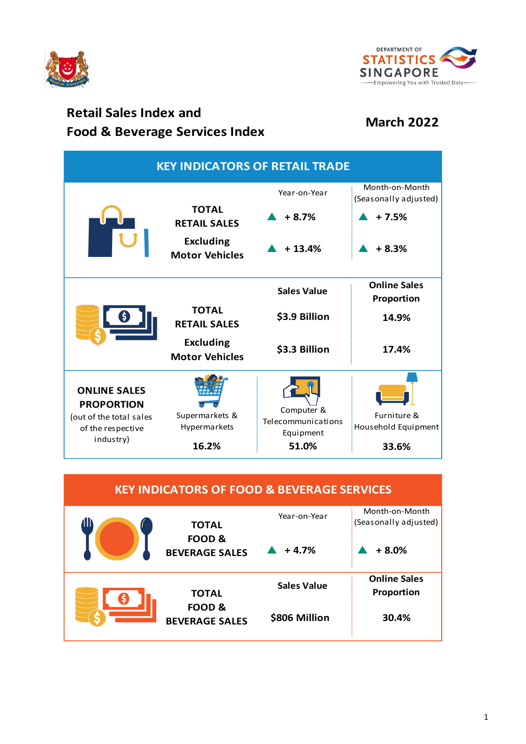



## **Retail Sales Index and Food & Beverage Services Index March 2022**

| <b>KEY INDICATORS OF RETAIL TRADE</b>                     |                                           |                                               |                                         |  |  |
|-----------------------------------------------------------|-------------------------------------------|-----------------------------------------------|-----------------------------------------|--|--|
|                                                           |                                           | Year-on-Year                                  | Month-on-Month<br>(Seasonally adjusted) |  |  |
|                                                           | <b>TOTAL</b><br><b>RETAIL SALES</b>       | $+8.7%$                                       | $+7.5%$                                 |  |  |
|                                                           | <b>Excluding</b><br><b>Motor Vehicles</b> | $+13.4%$                                      | $+8.3%$                                 |  |  |
|                                                           |                                           | <b>Sales Value</b>                            | <b>Online Sales</b><br>Proportion       |  |  |
|                                                           | <b>TOTAL</b><br><b>RETAIL SALES</b>       | \$3.9 Billion                                 | 14.9%                                   |  |  |
|                                                           | <b>Excluding</b><br><b>Motor Vehicles</b> | \$3.3 Billion                                 | 17.4%                                   |  |  |
| <b>ONLINE SALES</b><br><b>PROPORTION</b>                  |                                           |                                               |                                         |  |  |
| (out of the total sales<br>of the respective<br>industry) | Supermarkets &<br>Hypermarkets            | Computer &<br>Telecommunications<br>Equipment | Furniture &<br>Household Equipment      |  |  |
|                                                           | 16.2%                                     | 51.0%                                         | 33.6%                                   |  |  |

| <b>KEY INDICATORS OF FOOD &amp; BEVERAGE SERVICES</b> |                                                                |                    |                                         |  |  |
|-------------------------------------------------------|----------------------------------------------------------------|--------------------|-----------------------------------------|--|--|
| 40                                                    | <b>TOTAL</b><br>FOOD <sub>&amp;</sub><br><b>BEVERAGE SALES</b> | Year-on-Year       | Month-on-Month<br>(Seasonally adjusted) |  |  |
|                                                       |                                                                | $+4.7%$            | $+8.0%$                                 |  |  |
|                                                       | <b>TOTAL</b><br><b>FOOD &amp;</b><br><b>BEVERAGE SALES</b>     | <b>Sales Value</b> | <b>Online Sales</b>                     |  |  |
|                                                       |                                                                | \$806 Million      | Proportion<br>30.4%                     |  |  |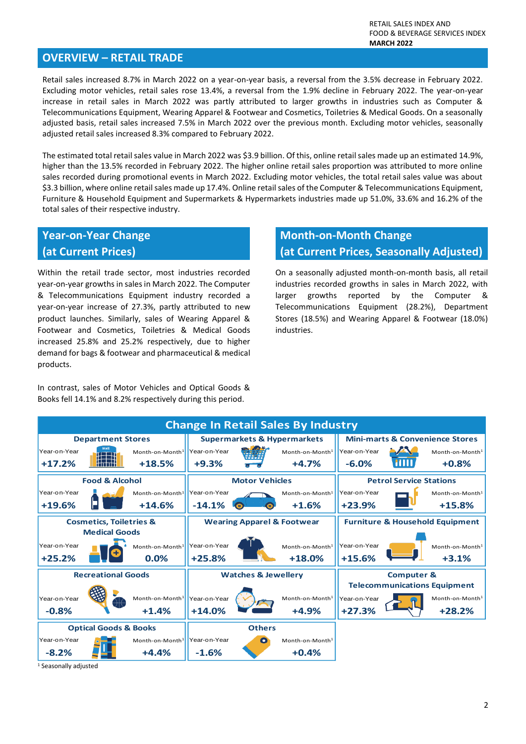#### **OVERVIEW – RETAIL TRADE**

Retail sales increased 8.7% in March 2022 on a year-on-year basis, a reversal from the 3.5% decrease in February 2022. Excluding motor vehicles, retail sales rose 13.4%, a reversal from the 1.9% decline in February 2022. The year-on-year increase in retail sales in March 2022 was partly attributed to larger growths in industries such as Computer & Telecommunications Equipment, Wearing Apparel & Footwear and Cosmetics, Toiletries & Medical Goods. On a seasonally adjusted basis, retail sales increased 7.5% in March 2022 over the previous month. Excluding motor vehicles, seasonally adjusted retail sales increased 8.3% compared to February 2022.

The estimated total retail sales value in March 2022 was \$3.9 billion. Of this, online retail sales made up an estimated 14.9%, higher than the 13.5% recorded in February 2022. The higher online retail sales proportion was attributed to more online sales recorded during promotional events in March 2022. Excluding motor vehicles, the total retail sales value was about \$3.3 billion, where online retail sales made up 17.4%. Online retail sales of the Computer & Telecommunications Equipment, Furniture & Household Equipment and Supermarkets & Hypermarkets industries made up 51.0%, 33.6% and 16.2% of the total sales of their respective industry.

## **Year-on-Year Change**

#### **(at Current Prices)**

Within the retail trade sector, most industries recorded year-on-year growths in sales in March 2022. The Computer & Telecommunications Equipment industry recorded a year-on-year increase of 27.3%, partly attributed to new product launches. Similarly, sales of Wearing Apparel & Footwear and Cosmetics, Toiletries & Medical Goods increased 25.8% and 25.2% respectively, due to higher demand for bags & footwear and pharmaceutical & medical products.

In contrast, sales of Motor Vehicles and Optical Goods & Books fell 14.1% and 8.2% respectively during this period.

# **Month-on-Month Change**

### **(at Current Prices, Seasonally Adjusted)**

On a seasonally adjusted month-on-month basis, all retail industries recorded growths in sales in March 2022, with larger growths reported by the Computer & Telecommunications Equipment (28.2%), Department Stores (18.5%) and Wearing Apparel & Footwear (18.0%) industries.



<sup>1</sup> Seasonally adjusted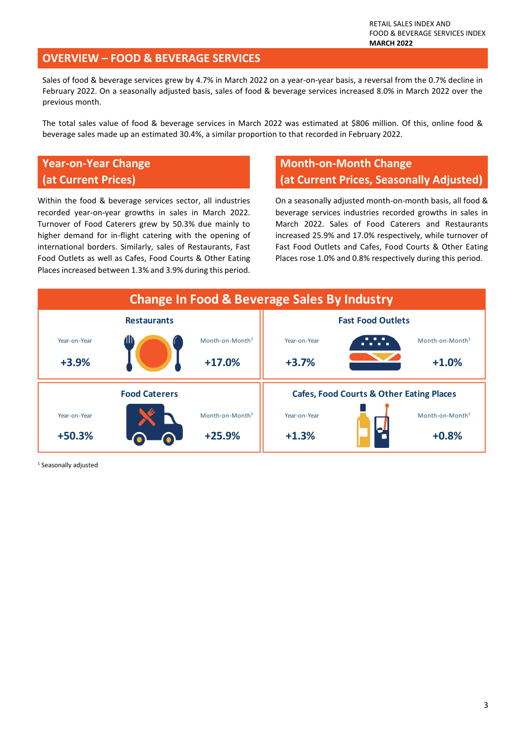#### **OVERVIEW – FOOD & BEVERAGE SERVICES**

Sales of food & beverage services grew by 4.7% in March 2022 on a year-on-year basis, a reversal from the 0.7% decline in February 2022. On a seasonally adjusted basis, sales of food & beverage services increased 8.0% in March 2022 over the previous month.

The total sales value of food & beverage services in March 2022 was estimated at \$806 million. Of this, online food & beverage sales made up an estimated 30.4%, a similar proportion to that recorded in February 2022.

### **Year-on-Year Change (at Current Prices)**

Within the food & beverage services sector, all industries recorded year-on-year growths in sales in March 2022. Turnover of Food Caterers grew by 50.3% due mainly to higher demand for in-flight catering with the opening of international borders. Similarly, sales of Restaurants, Fast Food Outlets as well as Cafes, Food Courts & Other Eating Places increased between 1.3% and 3.9% during this period.

### **Month-on-Month Change (at Current Prices, Seasonally Adjusted)**

On a seasonally adjusted month-on-month basis, all food & beverage services industries recorded growths in sales in March 2022. Sales of Food Caterers and Restaurants increased 25.9% and 17.0% respectively, while turnover of Fast Food Outlets and Cafes, Food Courts & Other Eating Places rose 1.0% and 0.8% respectively during this period.



<sup>1</sup> Seasonally adjusted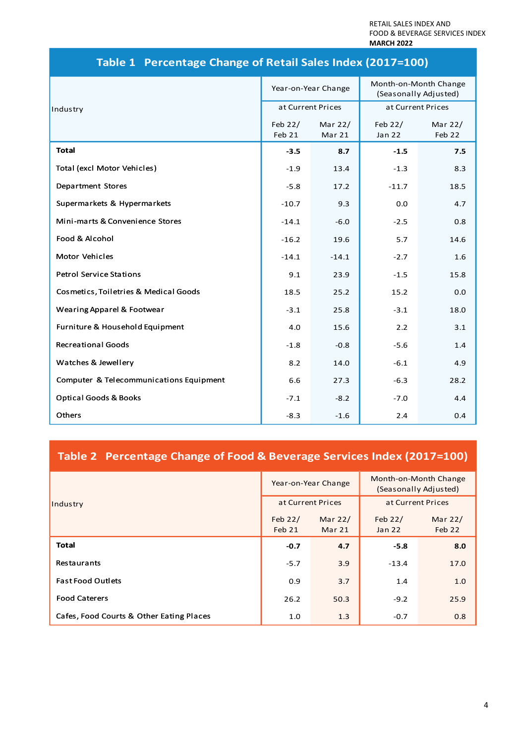RETAIL SALES INDEX AND FOOD & BEVERAGE SERVICES INDEX **MARCH 2022**

|                                         | Year-on-Year Change |                   | Month-on-Month Change<br>(Seasonally Adjusted) |                   |
|-----------------------------------------|---------------------|-------------------|------------------------------------------------|-------------------|
| Industry                                | at Current Prices   |                   | at Current Prices                              |                   |
|                                         | Feb 22/<br>Feb 21   | Mar 22/<br>Mar 21 | Feb 22/<br><b>Jan 22</b>                       | Mar 22/<br>Feb 22 |
| <b>Total</b>                            | $-3.5$              | 8.7               | $-1.5$                                         | 7.5               |
| Total (excl Motor Vehicles)             | $-1.9$              | 13.4              | $-1.3$                                         | 8.3               |
| <b>Department Stores</b>                | $-5.8$              | 17.2              | $-11.7$                                        | 18.5              |
| Supermarkets & Hypermarkets             | $-10.7$             | 9.3               | 0.0                                            | 4.7               |
| Mini-marts & Convenience Stores         | $-14.1$             | $-6.0$            | $-2.5$                                         | 0.8               |
| Food & Alcohol                          | $-16.2$             | 19.6              | 5.7                                            | 14.6              |
| Motor Vehicles                          | $-14.1$             | $-14.1$           | $-2.7$                                         | 1.6               |
| <b>Petrol Service Stations</b>          | 9.1                 | 23.9              | $-1.5$                                         | 15.8              |
| Cosmetics, Toiletries & Medical Goods   | 18.5                | 25.2              | 15.2                                           | 0.0               |
| Wearing Apparel & Footwear              | $-3.1$              | 25.8              | $-3.1$                                         | 18.0              |
| Furniture & Household Equipment         | 4.0                 | 15.6              | 2.2                                            | 3.1               |
| <b>Recreational Goods</b>               | $-1.8$              | $-0.8$            | $-5.6$                                         | 1.4               |
| Watches & Jewellery                     | 8.2                 | 14.0              | $-6.1$                                         | 4.9               |
| Computer & Telecommunications Equipment | 6.6                 | 27.3              | $-6.3$                                         | 28.2              |
| <b>Optical Goods &amp; Books</b>        | $-7.1$              | $-8.2$            | $-7.0$                                         | 4.4               |
| Others                                  | $-8.3$              | $-1.6$            | 2.4                                            | 0.4               |

### **Table 1 Percentage Change of Retail Sales Index (2017=100)**

### **Table 2 Percentage Change of Food & Beverage Services Index (2017=100)**

|                                          | Year-on-Year Change |                   | Month-on-Month Change<br>(Seasonally Adjusted) |                   |
|------------------------------------------|---------------------|-------------------|------------------------------------------------|-------------------|
| Industry                                 | at Current Prices   |                   | at Current Prices                              |                   |
|                                          | Feb 22/<br>Feb 21   | Mar 22/<br>Mar 21 | Feb $22/$<br>Jan 22                            | Mar 22/<br>Feb 22 |
| <b>Total</b>                             | $-0.7$              | 4.7               | $-5.8$                                         | 8.0               |
| Restaurants                              | $-5.7$              | 3.9               | $-13.4$                                        | 17.0              |
| <b>Fast Food Outlets</b>                 | 0.9                 | 3.7               | 1.4                                            | 1.0               |
| <b>Food Caterers</b>                     | 26.2                | 50.3              | $-9.2$                                         | 25.9              |
| Cafes, Food Courts & Other Eating Places | 1.0                 | 1.3               | $-0.7$                                         | 0.8               |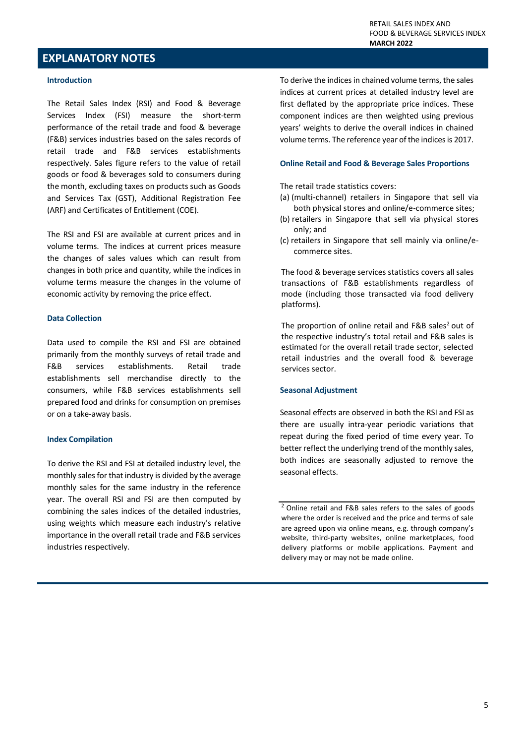#### **EXPLANATORY NOTES**

#### **Introduction**

The Retail Sales Index (RSI) and Food & Beverage Services Index (FSI) measure the short-term performance of the retail trade and food & beverage (F&B) services industries based on the sales records of retail trade and F&B services establishments respectively. Sales figure refers to the value of retail goods or food & beverages sold to consumers during the month, excluding taxes on products such as Goods and Services Tax (GST), Additional Registration Fee (ARF) and Certificates of Entitlement (COE).

The RSI and FSI are available at current prices and in volume terms. The indices at current prices measure the changes of sales values which can result from changes in both price and quantity, while the indices in volume terms measure the changes in the volume of economic activity by removing the price effect.

#### **Data Collection**

Data used to compile the RSI and FSI are obtained primarily from the monthly surveys of retail trade and F&B services establishments. Retail trade establishments sell merchandise directly to the consumers, while F&B services establishments sell prepared food and drinks for consumption on premises or on a take-away basis.

#### **Index Compilation**

To derive the RSI and FSI at detailed industry level, the monthly sales for that industry is divided by the average monthly sales for the same industry in the reference year. The overall RSI and FSI are then computed by combining the sales indices of the detailed industries, using weights which measure each industry's relative importance in the overall retail trade and F&B services industries respectively.

To derive the indices in chained volume terms, the sales indices at current prices at detailed industry level are first deflated by the appropriate price indices. These component indices are then weighted using previous years' weights to derive the overall indices in chained volume terms. The reference year of the indices is 2017.

#### **Online Retail and Food & Beverage Sales Proportions**

The retail trade statistics covers:

- (a) (multi-channel) retailers in Singapore that sell via both physical stores and online/e-commerce sites;
- (b) retailers in Singapore that sell via physical stores only; and
- (c) retailers in Singapore that sell mainly via online/ecommerce sites.

The food & beverage services statistics covers all sales transactions of F&B establishments regardless of mode (including those transacted via food delivery platforms).

The proportion of online retail and  $F&B$  sales<sup>2</sup> out of the respective industry's total retail and F&B sales is estimated for the overall retail trade sector, selected retail industries and the overall food & beverage services sector.

#### **Seasonal Adjustment**

Seasonal effects are observed in both the RSI and FSI as there are usually intra-year periodic variations that repeat during the fixed period of time every year. To better reflect the underlying trend of the monthly sales, both indices are seasonally adjusted to remove the seasonal effects.

<sup>&</sup>lt;sup>2</sup> Online retail and F&B sales refers to the sales of goods where the order is received and the price and terms of sale are agreed upon via online means, e.g. through company's website, third-party websites, online marketplaces, food delivery platforms or mobile applications. Payment and delivery may or may not be made online.